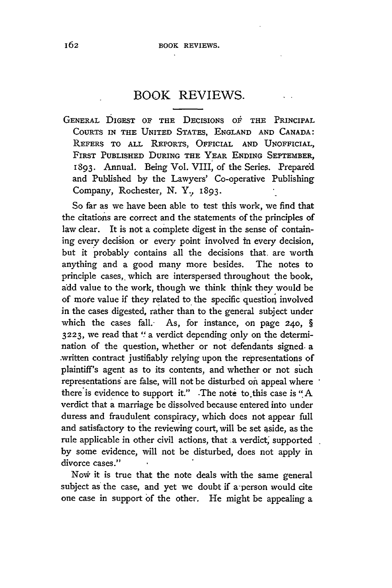## BOOK REVIEWS.

GENERAL DIGEST OF THE DECISIONS OF THE PRINCIPAL **COURTS IN** THE UNITED STATES, **ENGLAND AND CANADA:** REFERS TO **ALL** REPORTS, OFFICIAL **AND** UNOFFICIAL, **FIRST PUBLISHED DURING THE YEAR ENDING** SEPTEMBER, **1893.** Annual. Being Vol. VIII, of the Series. Prepared and Published by the Lawyers' Co-operative Publishing Company, Rochester, **N.** Y.; 1893.

So far as we have been able to test this work, we find that the citations are correct and the statements of the principles of law clear. It is not a complete digest in the sense of containing every decision or every point involved in every decision, but it probably contains all the decisions that. are worth anything and a good many more besides. The notes to principle cases,, which are interspersed throughout the book, add value to the work, though we think think they would be of mote value if they related to the specific question involved in the cases digested, rather than to the general subject under which the cases fall.- As, for instance, on page **240,** § **3223,** we read that **"** a verdict depending only on the determination of the question, whether or not defendants signed. a .written contract justifiably relying upon the representations of plaintiff's agent as to its contents, and whether or not such representations' are false, will not be disturbed on appeal where there is evidence to support it." .The note to this case is "A verdict that a marriage be dissolved because entered into under duress and fraudulent conspiracy, which does not appear full and satisfactory to the reviewing court, will be set aside, as the rule applicable in other civil actions, that a verdict, supported by some evidence, will not be disturbed, does not apply in divorce cases."

Now it is true that the note deals with the same general subject as the case, and yet we doubt if a person would cite one case in support of the other. He might be appealing a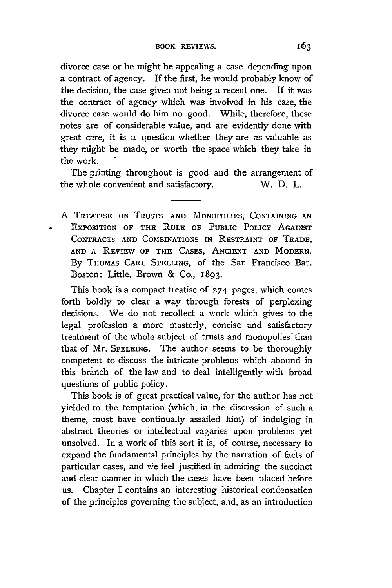divorce case or he might be appealing a case depending upon a contract of agency. If the first, he would probably know of the decision, the case given not being a recent one. If it was the contract of agency which was involved in his case, the divorce case would do him no good. While, therefore, these notes are of considerable value, and are evidently done with great care, it is a question whether they are as valuable as they might be made, or worth the space which they take in the work.

The printing throughout is good and the arrangement of the whole convenient and satisfactory. W. D. L.

A TREATISE **ON** TRUSTS **AND** MONOPOLIES, **CONTAINING AN EXPOSITION OF THE RULE OF PUBLIC** POLICY **AGAINST CONTRACTS AND** COMBINATIONS **IN RESTRAINT OF** TRADE, **AND A REVIEW** OF **THE** CASES, **ANCIENT AND** MODERN. By **THOMAS** CARL SPELLING, of the San Francisco Bar. Boston: Little, Brown & Co., 1893.

This book is a compact treatise of 274 pages, which comes forth boldly to clear a way through forests of perplexing decisions. We do not recollect a work which gives to the legal profession a more masterly, concise and satisfactory treatment of the whole subject of trusts and monopolies" than that of Mr. SPELEING. The author seems to be thoroughly competent to discuss the intricate problems which abound in this branch of the law and to deal intelligently with broad questions of public policy.

This book is of great practical value, for the author has not yielded to the temptation (which, in the discussion of such a theme, must have continually assailed him) of indulging in abstract theories or intellectual vagaries upon problems yet unsolved. In a work of this sort it is, of course, necessary to expand the fundamental principles by the narration of facts of particular cases, and we feel justified in admiring the succinct and clear manner in which the cases have been placed before us. Chapter I contains an interesting historical condensation of the principles governing the subject, and, as an introduction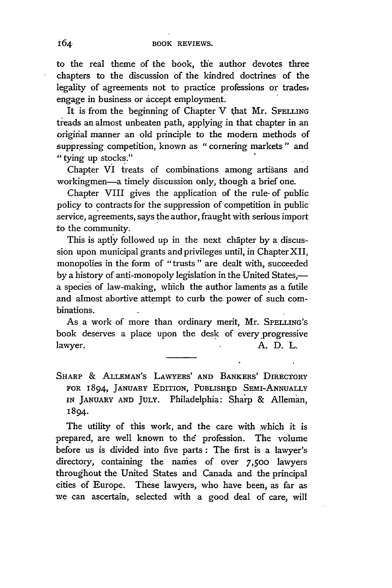to the real theme of the book, the author devotes three chapters to the discussion of the kindred doctrines of the legality of agreements not to practice professions or trades, engage in business or accept employment.

It is from the beginning of Chapter V that Mr. SPELLING treads an almost unbeaten path, applying in that chapter in an origirial manner an old principle to the modem methods of suppressing competition, known as "cornering markets" and "tying up stocks."

Chapter VI treats of combinations among artisans and workingmen-a timely discussion only, though a brief one.

Chapter VIII gives the application of the rule- of public policy to contracts for the suppression of competition in public service, agreements, says the author, fraught with serious import to the community.

This is aptly followed up in the next chapter by a discussion upon municipal grants and privileges until, in Chapter XII, monopolies in the form of "trusts" are dealt with, succeeded by a history of anti-monopoly legislation in the United States,a species of law-making, which the author laments as a futile and almost abortive attempt to curb the power of such combinations.

As a work of more than ordinary merit, Mr. SPELLING'S book deserves a place upon the desk of every progressive lawyer. A.D.L.

SHARP & ALLEMAN'S LAWYERS' AND BANKERS' DIREcToRY FOR 1894, JANUARY EDITION, PUBLISHED SEMI-ANNUALLY IN JANUARY **AND** JULY. Philadelphia: Sharp & Alleman, 1894.

The utility of this work, and the care with which it is prepared, are well known to the profession. The volume before us is divided into five parts: The first is a lawyer's directory, containing the names of over **7,500** lawyers throughout the United States and Canada and the principal cities of Europe. These lawyers, who have been, as far as we can ascertain, selected with a good deal of care, will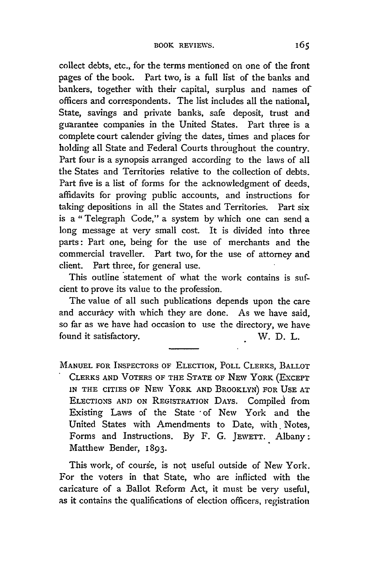collect debts, etc., for the terms mentioned on one of the front pages of the book. Part two, is a full list of the banks and bankers, together with their capital, surplus and names of officers and correspondents. The list includes all the national, State, savings and private banks, safe deposit, trust and guarantee companies in the United States. Part three is a complete court calender giving the dates, times and places for holding all State and Federal Courts throughout the country. Part four is a synopsis arranged according to the laws of all the States and Territories relative to the collection of debts. Part five is a list of forms for the acknowledgment of deeds, affidavits for proving public accounts, and instructions for taking depositions in all the States and Territories. Part six is a "Telegraph Code," a system by which one can send a long message at very small cost. It is divided into three parts: Part one, being for the use of merchants and the commercial traveller. Part two, for the use of attorney and client. Part three, for general use.

This outline statement of what the work contains is sufcient to prove its value to the profession.

The value of all such publications depends upon the care and accuracy with which they are done. As we have said, so far as we have had occasion to use the directory, we have found it satisfactory. W. D. L.

**MANUEL** FOR INSPECTORS OF ELECTION, POLL CLERKS, BALLOT CLERKS **AND** VOTERS OF THE STATE OF NEw YORK (EXCEPT IN THE CITIES OF NEW YORK AND BROOKLYN) FOR USE AT ELECTIONS AND **ON** REGISTRATION DAYS. Compiled from Existing Laws of the State "of New York and the United States with Amendments to Date, with. Notes, Forms and Instructions. By F. G. JEWETT. Albany: Matthew Bender, 1893.

This work, of course, is not useful outside of New York. For the voters in that State, who are inflicted with the caricature of a Ballot Reform Act, it must be very useful, as it contains the qualifications of election officers, registration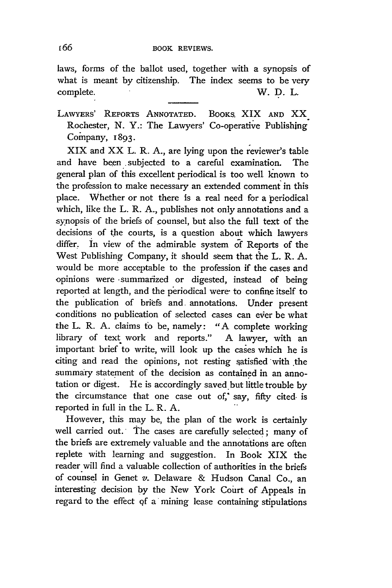laws, forms of the ballot used, together with a synopsis of what is meant by citizenship. The index seems to be very complete. W. D. L.

LAWYERS' REPORTS **ANNOTATED.** BOOKS. XIX **AND** XX Rochester, N. Y.: The Lawyers' Co-operative Publishing Company, 1893.

XIX and XX L. R. A., are lying upon the reviewer's table and have been subjected to a careful examination. The general plan of this excellent periodical is too well known to the profession to make necessary an extended comment in this place. Whether or not there is a real need for a periodical which, like the L. R. A., publishes not only annotations and a synopsis of the briefs of counsel, but also the full text of the decisions of the courts, is a question about which lawyers differ. In view of the admirable system **of** Reports of the West Publishing Company, it should seem that the L. R. A. would be more acceptable to the profession if the cases and opinions were -summarized or digested, instead of being reported at length, and the periodical were- to confine itself to the publication of briefs and. annotations. Under present conditions no publication of selected cases can ever be what the L. R. A. claims to be, namely: "A complete working library of text work and reports." A lawyer, with an important brief to write, will look up the cases which he is citing and read the opinions, not resting satisfied with the summary statement of the decision as contained in an annotation or digest. He is accordingly saved but little trouble by the circumstance that one case out of, say, fifty cited is reported in full in the L. R. A.

However, this may be, the plan of the work is certainly well carried out. The cases are carefully selected; many of the briefs are extremely valuable and the annotations are often replete with learning and suggestion. In Book XIX the reader will find a valuable collection of authorities in the briefs **of** counsel in Genet v. Delaware & Hudson Canal Co., an interesting decision by the New York Court of Appeals in regard to the effect qf a'mining lease containing stipulations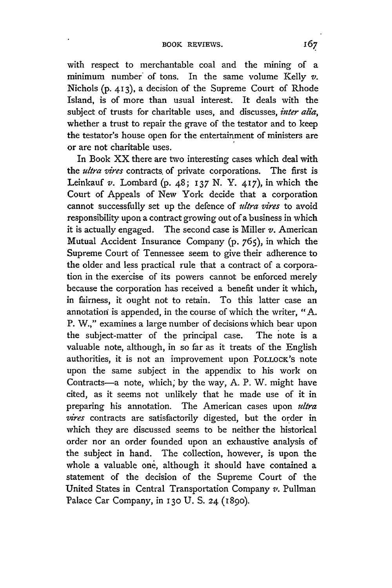with respect to merchantable coal and the mining of a minimum number of tons. In the same volume Kelly  $v$ . Nichols (p. 413), a decision of the Supreme Court of Rhode Island, is of more than usual interest. It deals with the subject of trusts for charitable uses, and discusses, *inter alia,* whether a trust to repair the grave of the testator and to keep the testator's house open for the entertainment of ministers are or are not charitable uses.

In Book XX there are two interesting cases which deal with *the ultra sires* contracts, of private corporations. The first is Leinkauf v. Lombard (p. 48; 137 N. Y. 417), in which the Court of Appeals of New York decide that a corporation cannot successfully set up the defence of *ultra vires* to avoid responsibility upon a contract growing out of a business in which it is actually engaged. The second case is Miller *v.* American Mutual Accident Insurance Company (p. 765), in which the Supreme Court of Tennessee seem to give their adherence to the older and less practical rule that a contract of a corporation in the exercise of its powers cannot be enforced merely because the corporation has received a benefit under it which, in fairness, it ought not to retain. To this latter case an annotation is appended, in the course of which the writer, *"A.* P. W.," examines a large number of decisions which bear upon the subject-matter of the principal case. The note is a valuable note, although, in so far as it treats of the English authorities, it is not an improvement upon POLLOCK's note upon the same subject in the appendix to his work on Contracts-a note, which; by the way, A. P. W. might have cited, as it seems not unlikely that he made use of it in preparing his annotation. The American cases upon *ultra ires* contracts are satisfactorily digested, but the order in which they are discussed seems to be neither the historical order nor an order founded upon an exhaustive analysis of the subject in hand. The collection, however, is upon the whole a valuable one, although it should have contained a statement of the decision of the Supreme Court of the United States in Central Transportation Company *v.* Pullman Palace Car Company, in **130** U. S. 24 (1890).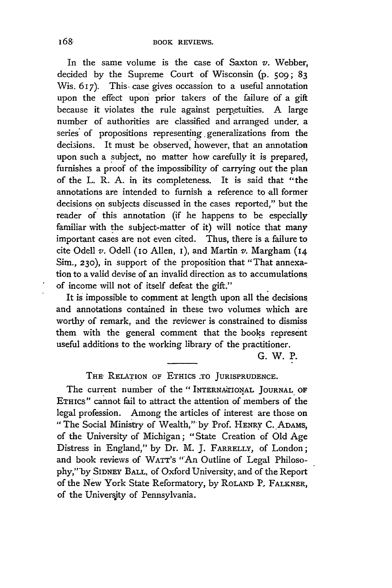In the same volume is the case of Saxton *v.* Webber, decided **by** the Supreme Court of Wisconsin (p. **509;** 83 Wis. 617). This case gives occassion to a useful annotation upon the effect upon prior takers of the failure of a gift because it violates the rule against perpetuities. A large number of authorities are classified and arranged under, a series of propositions representing generalizations from the decisions. It must be observed, however, that an annotation upon such a subject, no matter how carefully it is prepared, furnishes a proof of the impossibility of carrying out the plan of the L. R. **A.** in its completeness. It is said that "the annotations are intended to furnish a reference to **alI** former decisions on subjects discussed in the cases reported," but the reader of this annotation (if he happens to be especially familiar with the subject-matter of it) will notice that many important cases are not even cited. Thus, there is a failure to cite Odell *v.* Odell (io Allen, **I),** and Martin v. Margham (14 Sim., **230),** in support of the proposition that "That annexation to a valid devise of an invalid direction as to accumulations of income will not of itself defeat the gift."

It is impossible to comment at length upon all the decisions. and annotations contained in these two volumes which are worthy of remark, and the reviewer is constrained to dismiss them with the general comment that the books represent useful additions to the working library of the practitioner.

**G.** W. P.

**THE-** RELATION OF **ETHICS .TO** JURISPRUDENCE.

The current number of the **"** INTERNA:TIONAL **JOURNAL** OF ETHICS" cannot fail to attract the attention of members of the legal profession. Among the articles of interest are those on "The Social Ministry of Wealth," by Prof. HENRY C. ADAMS, of the University of Michigan; "State Creation of **Old** Age Distress in England," by Dr. M. J. FARRELLY, of London; and book reviews of WATT's "An Outline of Legal Philosophy,""by SIDNEY BALL, of Oxford University, and of the Report of the New York State Reformatory, by ROLAND P. FALKNER, of the University of Pennsylvania.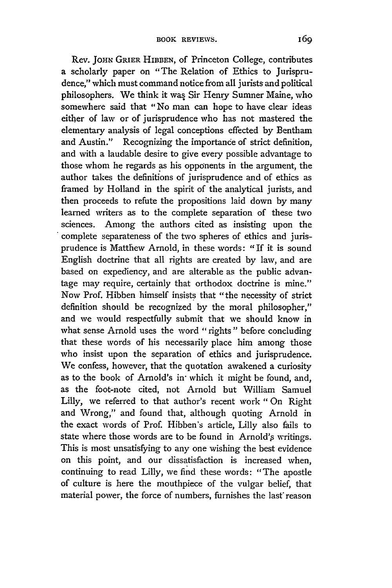Rev. **JOHN GRIER** HIBBEN, of Princeton College, contributes a scholarly paper on "The Relation of Ethics to Jurisprudence," which must command notice from all jurists and political philosophers. We think it was Sir Henry Sumner Maine, who somewhere said that "No man can hope to have clear ideas either of law or of jurisprudence who has not mastered the elementary analysis of legal conceptions effected by Bentham and Austin." Recognizing the importance of strict definition, and with a laudable desire to give every possible advantage to those whom he regards as his opponents in the argument, the author takes the definitions of jurisprudence and of ethics as framed by Holland in the spirit of the analytical jurists, and then proceeds to refute the propositions laid down by many learned writers as to the complete separation of these two sciences. Among the authors cited as insisting upon the complete separateness of the two spheres of ethics and jurisprudence is Matthew Arnold, in these words: "If it is sound English doctrine that all rights are created by law, and are based on expediency, and are alterable as the public advantage may require, certainly that orthodox doctrine is mine." Now Prof. Hibben himself insists that "the necessity of strict definition should be recognized by the moral philosopher," and we would respectfully submit that we should know in what sense Arnold uses the word "rights" before concluding that these words of his necessarily place him among those who insist upon the separation of ethics and jurisprudence. We confess, however, that the quotation awakened a curiosity as to the book of Arnold's in which it might be found, and, as the foot-note cited, not Arnold but William Samuel Lilly, we referred to that author's recent work " On Right and Wrong," and found that, although quoting Arnold in the exact words of Prof. Hibben's article, Lilly also fails to state where those words are to be found in Arnold's writings. This is most unsatisfying to any one wishing the best evidence on this point, and our dissatisfaction is increased when, continuing to read Lilly, we find these words: "The apostle of culture is here the mouthpiece of the vulgar belief, that material power, the force of numbers, furnishes the last reason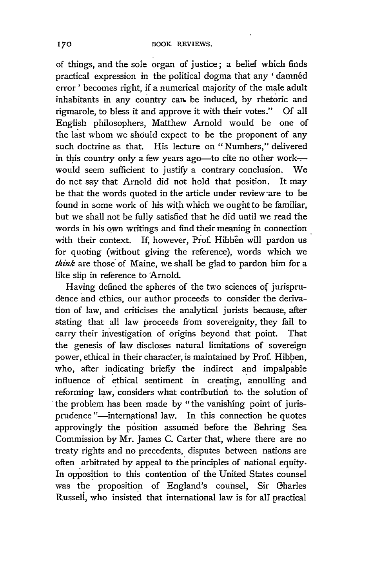of things, and the sole organ of justice; a belief which finds practical expression in the political dogma that any 'damnéd error' becomes right, if a numerical majority of the male adult inhabitants in any country can. be induced, by rhetoric and rigmarole, to bless it and approve it with their votes." Of all English philosophers, Matthew Arnold would be one of the last whom we should expect to be the proponent of any such doctrine as that. His lecture on "Numbers," delivered in this country only a few years ago-to cite no other work $$ would seem sufficient to justify a contrary conclusion. We do nct say that Arnold did not hold that position. It may be that the words quoted in the article under review-are to be found in some work of his with which we ought to be familiar, but we shall not be fully satisfied that he did until we read the words in his own writings and find their meaning in connection with their context. If, however, Prof. Hibben will pardon us for quoting (without giving the reference), words which we *think* are those of Maine, we shall be glad to pardon him for a like slip in reference to Arnold.

Having defined the spheres of the two sciences of jurisprudence and ethics, our author proceeds to consider the derivation of law, and criticises the analytical jurists because, after stating that all law proceeds from sovereignity, they fail to carry their investigation of origins beyond that point. That the genesis of law discloses natural limitations of sovereign power, ethical in their character, is maintained by Prof. Hibben, who, after indicating briefly the indirect and impalpable influence of ethical sentiment in creating, annulling and reforming law, considers what contribution to the solution of the problem has been made by "the vanishing point of jurisprudence "-international law. In this connection he quotes approvingly the position assumed before the Behring Sea Commission by Mr. James C. Carter that, where there are no treaty rights and no precedents, disputes between nations are often arbitrated by appeal to the principles of national equity. In opposition to this contention of the United States counsel was the proposition of England's counsel, Sir Oharles Russeli, who insisted that international law is for all practical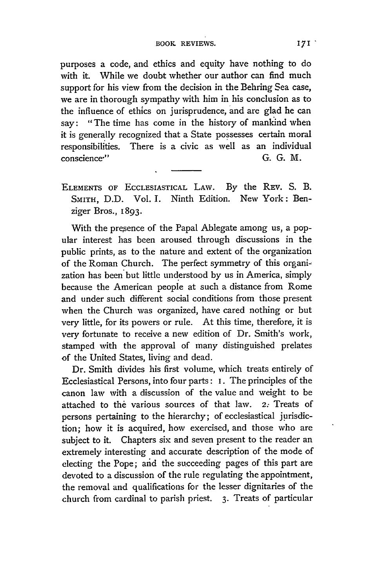purposes a code, and ethics and equity have nothing to do with it. While we doubt whether our author can find much support for his view from the decision in the Behring Sea case, we are in thorough sympathy with him in his conclusion as to the influence of ethics on jurisprudence, and are glad he can say: "The time has come in the history of mankind when it is generally recognized that a State possesses certain moral responsibilities. There is a civic as well as an individual conscience<sup>-"</sup> G.G.M.

**ELEMENTS** OF ECCLESIASTICAL LAW. By the REv. S. B. SMITH, D.D. Vol. I. Ninth Edition. New York: Benziger Bros., 1893.

With the presence of the Papal Ablegate among us, a popular interest has been aroused through discussions in the public prints, as to the nature and extent of the organization of the Roman Church. The perfect symmetry of this organization has been but little understood by us in America, simply because the American people at such a distance from Rome and under such different social conditions from those present when the Church was organized, have cared nothing or but very little, for its powers or rule. At this time, therefore, it is very fortunate to receive a new edition of Dr. Smith's work, stamped with the approval of many distinguished prelates of the United States, living and dead.

Dr. Smith divides his first volume, which treats entirely of Ecclesiastical Persons, into four parts: i. The principles of the canon law with a discussion of the value and weight to be attached to the various sources of that law. **2:** Treats of persons pertaining to the hierarchy; of ecclesiastical jurisdiction; how it is acquired, how exercised, and those who are subject to it. Chapters six and seven present to the reader an extremely interesting and accurate description of the mode of electing the Pope; arid the succeeding pages of this part are devoted to a discussion of the rule regulating the appointment, the removal and qualifications for the lesser dignitaries of the church from cardinal to parish priest. **3.** Treats of particular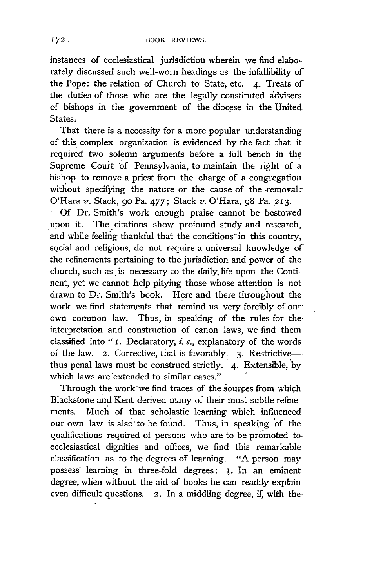instances of ecclesiastical jurisdiction wherein we find elaborately discussed such well-worn headings as the infallibility of the Pope: the relation of Church to State, etc. 4. Treats of the duties of those who are the legally constituted advisers of bishops in the government of the diocese in the United States.

That there is a necessity for a more popular understanding of this complex organization is evidenced by the fact that it required two solemn arguments before a full bench in the Supreme Court of Pennsylvania, to maintain the right of a bishop to remove a priest from the charge of a congregation without specifying the nature or the cause of the removal: O'Hara *v*. Stack, 90 Pa. 477; Stack *v*. O'Hara, 98 Pa. 213.<br>Of Dr. Smith's work enough praise cannot be bestowed

upon it. The, citations show profound study and research, and while feeling thankful that the conditions in this country, social and religious, do not require a universal knowledge of the refinements pertaining to the jurisdiction and power of the church, such as is necessary to the daily. life upon the Continent, yet we cannot help pitying those whose attention is not drawn to Dr. Smith's book. Here and there throughout the work we find statements that remind us very forcibly of our own common law. Thus, in speaking of the rules for theinterpretation and construction of canon laws, we find them classified into " 1. Declaratory, *i. e.,* explanatory of the words of the law. 2. Corrective, that is favorably. **3.** Restrictivethus penal laws must be construed strictly. 4. Extensible, by which laws are extended to similar cases."

Through the work we find traces of the sources from which Blackstone and Kent derived many of their most subtle refine- ments. Much of that scholastic learning which influenced our own law is also- to be found. Thus, in speaking of the qualifications required of persons who are to be promoted to. ecclesiastical dignities and offices, we find this remarkable classification as to the degrees of learning. "A person may possess\* learning in three-fold degrees: **;.** In an eminent degree, when without the aid of books he can readily explain even difficult questions. 2. In a middling degree, if, with the-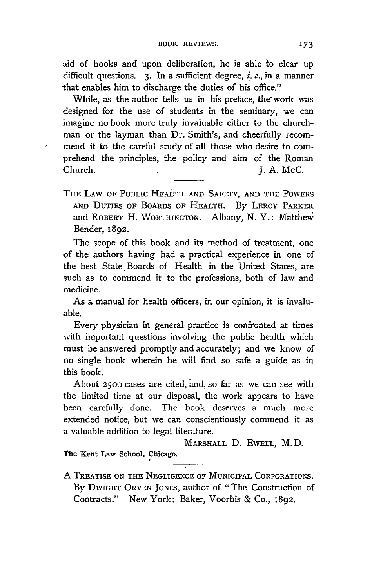aid of books and upon deliberation, he is able to clear up difficult questions. 3. In a sufficient degree, *i. e.*, in a manner that enables him to discharge the duties of his office."

While, as the author tells us in his preface, the work was designed for the use of students in the seminary, we can imagine no book more truly invaluable either to the churchman or the layman than Dr. Smith's, and cheerfully recommend it to the careful study of all those who desire to comprehend the principles, the policy and aim of the Roman Church. **A.**   $\blacksquare$  . T. A. McC.

 $\lambda$ 

**THE** LAW OF PUBLIC HEALTH **AND** SAFETY, **AND THE** POWERS **AND DUTIES OF** BOARDS **OF** HEALTH. By **LEROY** PARKER and **ROBERT** H. WORTHINGTON. Albany, N. Y.: Matthew Bender, 1892.

The scope of this book and its method of treatment, one of the authors having had a practical experience in one of the best State Boards of Health in the United States, are such as to commend it to the professions, both of **law** and medicine.

As a manual for health officers, in our opinion, it is invaluable.

Every physician in general practice is confronted at times with important questions involving the public health which must be answered promptly and accurately; and we know of no single book wherein he will find so safe a guide as in this book.

About **2500** cases are cited, and, so far as we can see with the limited time at our disposal, the work appears to have been carefully done. The book deserves a much more extended notice, but we can conscientiously commend it as a valuable addition to legal literature.

MARSHALL **D.** EWELL, M.D. The Kent Law School, Chicago.

A TREATISE ON THE **NEGLIGENCE** OF MUNICIPAL CORPORATIONS. By DWIGHT ORVEN JONES, author of "The Construction of Contracts." New York: Baker, Voorhis & Co., 1892.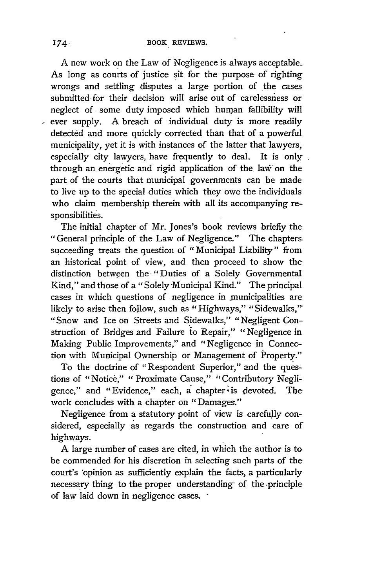A new work on the Law of Negligence is always acceptable. As long as courts of justice sit for the purpose of righting wrongs and settling disputes a large portion of the cases submitted-for their decision will arise out of carelessness or neglect of, some duty imposed which human fallibility will ever supply. **A** breach of individual duty is more readily detected and more quickly corrected than that of a powerful municipality, yet it is with instances of the latter that lawyers, especially city lawyers, have frequently to deal. It is only through an energetic and rigid application of the lav'on the part of the courts that municipal governments can be made to live up to the special duties which they owe the individuals who claim membership therein with all its accompanying responsibilities.

The initial chapter of Mr. Jones's book reviews briefly the "General principle of the Law of Negligence." The chapters. succeeding treats the question of "Municipal Liability" from an historical point of view, and then proceed to show the distinction between the. "Duties of a Solely Governmental Kind," and those of a "Solely Municipal Kind." The principal cases in which questions of negligence in municipalities are likely to arise then follow, such as "Highways," "Sidewalks," "Snow and Ice on Streets and Sidewalks," "Negligent Construction of Bridges and Failure to Repair," "Negligence in Making Public Improvements," and "Negligence in Connection with Municipal Ownership or Management of Property."

To the doctrine of "Respondent Superior," and the questions of "Notice," " Proximate Cause," "Contributory Negligence," and "Evidence," each, a chapter is 4evoted. The work concludes with a chapter on "Damages."

Negligence from a statutory point of view is carefully considered, especially as regards the construction and care of highways.

**A** large number of cases are cited, in which the author is to be commended for his discretion in selecting such parts of the court's 'opinion as sufficiently explain the facts, a particularly necessary thing to the proper understanding of the principle of law laid down in negligence cases.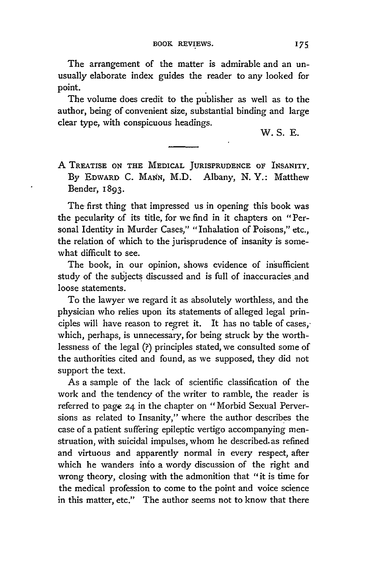The arrangement of the matter is admirable and an unusually elaborate index guides the reader to any looked for point.

The volume does credit to the publisher as well as to the author, being of convenient size, substantial binding and large clear type, with conspicuous headings.

W.S. E.

A TREATISE **ON** THE **MEDICAL** JURISPRUDENCE **OF** INSANITY. By EDWARD C. MANN, M.D. Albany, N.Y.: Matthew Bender, 1893.

The first thing that impressed us in opening this book was the pecularity of its title, for we find in it chapters on "Personal Identity in Murder Cases," "Inhalation of Poisons," etc., the relation of which to the jurisprudence of insanity is somewhat difficult to see.

The book, in our opinion, shows evidence of insufficient study of the subjects discussed and is full of inaccuracies and loose statements.

To the lawyer we regard it as absolutely worthless, and the physician who relies upon its statements of alleged legal principles will have reason to regret it. It has no table of cases, which, perhaps, is unnecessary, for being struck by the worthlessness of the legal (?) principles stated, we consulted some of the authorities cited and found, as we supposed, they did not support the text.

As a sample of the lack of scientific classification of the work and the tendency of the writer to ramble, the reader is referred to page 24 in the chapter on "Morbid Sexual Perversions as related to Insanity," where the author describes the case of a patient suffering epileptic vertigo accompanying menstruation, with suicidal impulses, whom he described, as refined and virtuous and apparently normal in every respect, after which he wanders info a wordy discussion of the right and wrong theory, closing with the admonition that "it is time for the medical profession to come to the point and voice science in this matter, etc." The author seems not to know that there